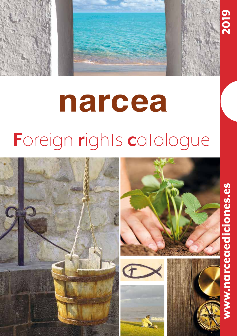

# **narcea**

## **F**oreign **r**ights **c**atalogue

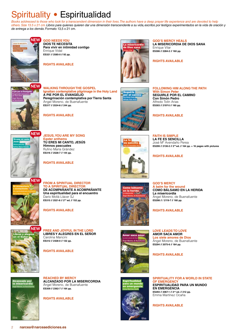Books addressed to those who look for a transcendent dimension in their lives. The authors have a deep prayer life experience and are devoted to help *others. Size 13.5 x 21 cm. Libros para quienes quieren dar una dimensión transcendente a su vida, escritos por testigos experimentados en la vida de oración y de entrega a los demás.* Formato 13,5 x 21 cm.



**GOD NEEDS YOU DIOS TE NECESITA** 

**Para vivir en intimidad contigo** Enrique Vidal **ES321 // 2585-0 // 92 pp.**

**RIGHTS AVAILABLE**



**GOD'S MERCY HEALS LA MISERICORDIA DE DIOS SANA** Enrique Vilar **ES306 // 2284-2 // 160 pp.**

#### **RIGHTS AVAILABLE**



**WALKING THROUGH THE GOSPEL Ignatian contemplative pilgrimage in the Holy Land A PIE POR EL EVANGELIO Peregrinación contemplativa por Tierra Santa**  Ángel Moreno, de Buenafuente **ES317 // 2534-8 // 244 pp.**



**FOLLOWING HIM ALONG THE PATH With Simon Pete SEGUIRLE POR EL CAMINO Con Simón Pedro** Alfredo Tolín Arias **ES303 // 2197-5 // 160 pp.**

**RIGHTS AVAILABLE**

**FAITH IS SIMPLE LA FE ES SENCILLA** José Mª Avendaño Perea **ES299 // 2130-2 // 2nd ed. // 164 pp. + 16 pages with pictures**

**RIGHTS AVAILABLE**

#### **JESUS, YOU ARE MY SONG Easter anthems TÚ ERES MI CANTO, JESÚS Himnos pascuales** Rufino María Grández **ES316 // 2528-7 // 144 pp. NEW**

**NEW**

**RIGHTS AVAILABLE**

Darío Mollá Llácer SJ **ES315 // 2521-8 // 2nd ed. // 152 pp.**

**RIGHTS AVAILABLE**

**RIGHTS AVAILABLE**



#### **GOD'S MERCY**

**A balm for the wound COMO BÁLSAMO EN LA HERIDA La misericordia** Ángel Moreno, de Buenafuente **ES298 // / 2119-7 // 160 pp.**

**RIGHTS AVAILABLE**

**LOVE LEADS TO LOVE AMOR SACA AMOR Los siete amores de Dios** Ángel Moreno, de Buenafuente **ES294 // 2075-6 // 184 pp.** 

**RIGHTS AVAILABLE**







**SPIRITUALITY FOR A WORLD IN STATE OF EMERGENCY ESPIRITUALIDAD PARA UN MUNDO EN EMERGENCIA ES293 // 2067-1 // 2nd ed. // 212 pp.** Emma Martínez Ocaña

**RIGHTS AVAILABLE**



**FREE AND JOYFUL IN THE LORD LIBRES Y ALEGRES EN EL SEÑOR**  Carolina Mancini **ES312 // 2428-0 // 132 pp.**

**FROM A SPIRITUAL DIRECTOR TO A SPIRITUAL DIRECTOR** 

**DE ACOMPAÑANTE A ACOMPAÑANTE Una espiritualidad para el encuentro**

#### **RIGHTS AVAILABLE**



**REACHED BY MERCY ALCANZADO POR LA MISERICORDIA** Ángel Moreno, de Buenafuente **ES309 // 2362-7 // 164 pp.**

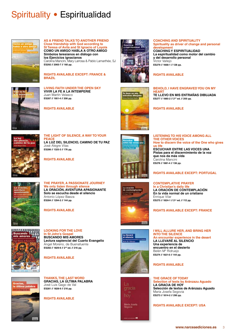

**AS A FRIEND TALKS TO ANOTHER FRIEND Close friendship with God according to St Teresa of Avila and St Ignacio of Loyola COMO UN AMIGO HABLA A OTRO AMIGO Símbolos teresianos en diálogo con los Ejercicios ignacianos** Carolina Mancini, Mary Larrosa & Pablo Lamarthée, SJ **ES292 // 2065-7 // 160 pp.**

**RIGHTS AVAILABLE EXCEPT: FRANCE & BRAZIL**



**LIVING FAITH UNDER THE OPEN SKY VIVIR LA FE A LA INTEMPERIE** Juan Martín Velasco **ES287 // 1951-4 // 208 pp.**

**THE LIGHT OF SILENCE, A WAY TO YOUR** 

**LA LUZ DEL SILENCIO, CAMINO DE TU PAZ**

**RIGHTS AVAILABLE**



**THE OTHER VOICES How to discern the voice of the One who gives us life ESCUCHAR ENTRE LAS VOCES UNA Pistas para el discernimiento de la voz** 

**COACHING AND SPIRITUALITY**

**COACHING Y ESPIRITUALIDAD**

**y del desarrollo personal**

**ES277 // 1885-2 // 2nd ed. // 200 pp.**

**RIGHTS AVAILABLE**

**RIGHTS AVAILABLE**

**development**

Víctor Vallejo **ES279 // 1668-1 // 128 pp.**

**HEART**

**Spirituality as driver of change and personal** 

**La espiritualidad como motor del cambio**

**BEHOLD, I HAVE ENGRAVED YOU ON MY** 

**TE LLEVO EN MIS ENTRAÑAS DIBUJADA**

**RIGHTS AVAILABLE**

José Alegre Vilas **ES286 // 1325-3 // 176 pp.** 

**PEACE**



**THE PRAYER, A PASSIONATE JOURNEY We only listen through silence LA ORACIÓN, AVENTURA APASIONANTE Solo se escucha desde el silencio** Antonio López Baeza **ES284 // 1294-2 // 144 pp.** 

**RIGHTS AVAILABLE**



**LOOKING FOR THE LOVE In St John's Gospel BUSCANDO MIS AMORES Lectura sapiencial del Cuarto Evangelio** Ángel Moreno, de Buenafuente **ES282 // 1829-6 // 2nd ed. // 216 pp.**

#### **RIGHTS AVAILABLE**



**THANKS, THE LAST WORD GRACIAS, LA ÚLTIMA PALABRA** José Luis Gago de Val **ES281 // 1828-9 // 216 pp.**

#### **RIGHTS AVAILABLE**



**que nos da más vida** Carolina Mancini

**ES276 // 1881-4 // 136 pp.** 

#### **RIGHTS AVAILABLE EXCEPT: PORTUGAL**

#### **CONTEMPLATIVE PRAYER**

**In a Christian's daily life LA ORACIÓN DE CONTEMPLACIÓN En la vida normal de un cristiano** Enrique Vilar **ES275 // 1824-1 // 2nd ed. // 112 pp.**

#### **RIGHTS AVAILABLE EXCEPT: FRANCE**



gracia hov

**An encounter experience in the desert encuentro en el desierto** Belén Mª Ridruejo **ES274 // 1821-0 // 144 pp.**

#### **RIGHTS AVAILABLE**

#### **THE GRACE OF TODAY Selection of texts by Aránzazu Aguado LA GRACIA DE HOY Selección de textos de Aránzazu Aguado** María Josefa Segovia **ES273 // 1814-2 // 290 pp.**

**RIGHTS AVAILABLE EXCEPT: USA**

**LISTENING TO HIS VOICE AMONG ALL** 

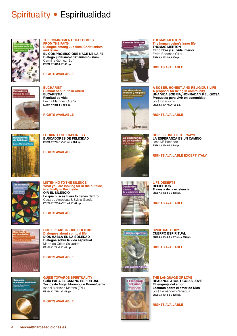

**THE COMMITMENT THAT COMES FROM THE FAITH Dialogue among Judaism, Christianism, and Islam EL COMPROMISO QUE NACE DE LA FE Diálogo judaísmo-cristianismo-islam** Carmina Gómez (Ed.)

**ES272 // 1818-0 // 140 pp.**

**RIGHTS AVAILABLE**



**EUCHARIST Summit of our life in Christ EUCARISTÍA Plenitud de vida** Emma Martínez Ocaña **ES271 // 1811-1 // 160 pp.**

**RIGHTS AVAILABLE**



**A SOBER, HONEST, AND RELIGIOUS LIFE A proposal for living in community UNA VIDA SOBRIA, HONRADA Y RELIGIOSA Propuesta para vivir en comunidad** José Eizaguirre **ES262 // 1717-6 // 168 pp.**

**RIGHTS AVAILABLE**

**THOMAS MERTON**

**THOMAS MERTON**

**The human being's inner life**



**LOOKING FOR HAPPINESS BUSCADORES DE FELICIDAD ES268 // 1754-1 // 4th ed. // 288 pp.**

**RIGHTS AVAILABLE**



**HOPE IS ONE OF THE WAYS LA ESPERANZA ES UN CAMINO** José Mª Recondo **ES261 // 1640-7 // 144 pp.**

**RIGHTS AVAILABLE EXCEPT: ITALY**



**LISTENING TO THE SILENCE What you are looking for in the outside, is actually in the inside OÍR EL SILENCIO Lo que buscas fuera lo tienes dentro** Cesáreo Amezcua & Sylvia García **ES266 // 1735-0 // 2nd ed. // 144 pp.**

**RIGHTS AVAILABLE**



**GOD SPEAKS IN OUR SOLITUDE Dialogues about spiritual life DIOS HABLA EN LA SOLEDAD Diálogos sobre la vida espiritual** Mario de Cristo Salvador **ES265 // 1731-2 // 144 pp.**

**RIGHTS AVAILABLE**



**GUIDE TOWARDS SPIRITUALITY GUÍA PARA EL CAMINO ESPIRITUAL Textos de Ángel Moreno, de Buenafuente** Isabel Martínez Moreno (Ed.) **ES264 // 1725-1 // 208 pp.**

**RIGHTS AVAILABLE**



Cuerpo espiritual



**RIGHTS AVAILABLE**

**SPIRITUAL BODY CUERPO ESPIRITUAL ES256 // 1646-9 // 2nd ed. // 208 pp.**

**RIGHTS AVAILABLE** 



**MA MARTINEZ OC** 

**THE LANGUAGE OF LOVE READINGS ABOUT GOD'S LOVE El lenguaje del amor Lecturas sobre el amor de Dios** José Fernández-Paniagua **ES255 // 1648-3 // 128 pp.**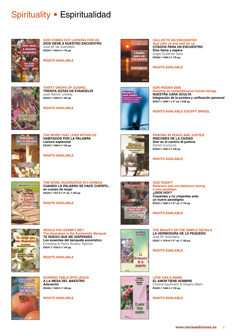

#### **GOD COMES OUT LOOKING FOR US DIOS VIENE A NUESTRO ENCUENTRO** José Mª de Avendaño

**ES254 // 1634-6 // 176 pp.**

**THIRTY DROPS OF GOSPEL TREINTA GOTAS DE EVANGELIO**

**RIGHTS AVAILABLE**

José Ramón Urbieta **ES253 // 1630-8 // 160 pp.**

**RIGHTS AVAILABLE**



#### **CALLED TO AN ENCOUNTER**

**God calls us and wait for us CITADOS PARA UN ENCUENTRO Dios llama y espera** Ángel Gutiérrez Sanz **ES238 // 1489-2 // 176 pp.**

#### **RIGHTS AVAILABLE**

**OUR HIDDEN SIDE ES237 // 1499-1 // 4th ed. // 208 pp.**

**Growing as comprehensive human beings NUESTRA CARA OCULTA Integración de la sombra y unificación personal**

#### **RIGHTS AVAILABLE EXCEPT: BRAZIL**



**ET MORENA** 

**THE WORD THAT LIVES WITHIN US HABITADOS POR LA PALABRA Lectura sapiencial ES249 // 1580-6 // 136 pp.**

**RIGHTS AVAILABLE**



**PRAYING IN PEACE AND JUSTICE RINCONES DE LA CIUDAD Orar en el camino fe-justicia** Daniel Izuzquiza **ES233 // 1492-2 // 160 pp.**

**RIGHTS AVAILABLE**

**GOD TODAY?**



**THE WORD INCARNATED IN A WOMAN CUANDO LA PALABRA SE HACE CUERPO... en cuerpo de mujer ES245 // 1551-6 // 4th ed. // 160 pp.**

**RIGHTS AVAILABLE**



**WOULD YOU EXEMPT ME? The absentees in the Eucharistic Banquet TE RUEGO QUE ME DISPENSES Los ausentes del banquete eucarístico** Ernestina & Pedro Álvarez Tejerina **ES241 // 1533-2 // 144 pp.**

**RIGHTS AVAILABLE**



**SHARING TABLE WITH JESUS A LA MESA DEL MAESTRO Adoración ES240 // 1520-2 // 128 pp.**

**RIGHTS AVAILABLE**



*<u>ADios hove</u>* 11 1 20



**Believers and non-believers facing a new paradigm ¿DIOS HOY? Creyentes y no creyentes ante un nuevo paradigma ES232 // 1485-4 // 2nd ed. // 176 pp.**

**RIGHTS AVAILABLE** 

#### **THE BEAUTY OF THE SIMPLE DETAILS LA HERMOSURA DE LO PEQUEÑO** José Mª Avendaño **ES227 // 1474-8 // 2nd ed. // 128 pp.**

**RIGHTS AVAILABLE**

**LOVE HAS A NAME EL AMOR TIENE NOMBRE** Cristina Kaufmann & Rosario Marín **ES226 // 1466-3 // 120 pp.**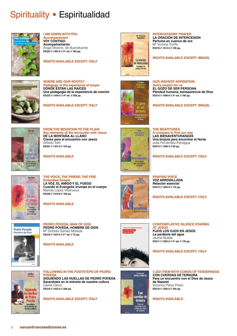

#### **I AM GOING WITH YOU Accompaniment VOY CONTIGO Acompañamiento** Ángel Moreno, de Buenafuente **ES225 // 1467-0 // 3rd ed. // 160 pp.**

**RIGHTS AVAILABLE EXCEPT: ITALY**



Attived:<br>TELEN

**De** a montaña

al llano

Clines para<br>el encuentro<br>cos Jesus

**WHERE ARE OUR ROOTS? Pedagogy of the experience of prayer DÓNDE ESTÁN LAS RAÍCES Una pedagogía de la experiencia de oración ES223 // 1446-5 // 4th ed. // 208 pp.**

**RIGHTS AVAILABLE EXCEPT: ITALY**

**FROM THE MOUNTAIN TO THE PLAIN Key elements of the encounter with Jesus**

**DE LA MONTAÑA AL LLANO Claves para el encuentro con Jesús**

Alfredo Tolín **ES221 // 1441-0 // 120 pp.**

**RIGHTS AVAILABLE**



HESANDEZ

Las

Sienavenhoranzas: enaventuran<br>| una brujula<br>| para escontiv<br>| el Norte

Argei<br>MORENO,

Voz

arrodillada darian especia

M<sup>\*</sup> Victoria<br>TRIVINO

La oración de intercession Perfume en<br>cuenco de oro

**INTERCESSORY PRAYER**

**LA ORACIÓN DE INTERCESIÓN Perfume en cuenco de oro** Mª Victoria Triviño **ES216 // 1414-4 // 120 pp.**

#### **RIGHTS AVAILABLE EXCEPT: BRAZIL**

**OUR HIGHEST ASPIRATION God's project for us EL GOZO DE SER PERSONA Plenitud humana, transparencia de Dios ES215 // 1406-9 // 5th ed. // 160 pp.**

**RIGHTS AVAILABLE EXCEPT: BRAZIL**

#### **THE BEATITUDES A compass to find our way**

**PRAYING VOICE VOZ ARRODILLADA Relación esencial ES212 // 1394-9 // 116 pp.**

**LAS BIENAVENTURANZAS Una brújula para encontrar el Norte** José Fernández-Paniagua **ES213 // 1396-3 // 96 pp.**

**RIGHTS AVAILABLE EXCEPT: ITALY**



#### **THE VOICE, THE FRIEND, THE FIRE Embodied Gospe LA VOZ, EL AMIGO Y EL FUEGO**

**Cuando el Evangelio irrumpe en el cuerpo** Mariola López Villanueva **ES220 // 1416-8 // 160 pp.**

**RIGHTS AVAILABLE**



**PEDRO POVEDA, MAN OF GOD PEDRO POVEDA, HOMBRE DE DIOS** Mª Dolores Gómez Molleda **ES219 // 1427-4 // 2nd ed. // 72 pp.**

**RIGHTS AVAILABLE**



OS LOS OJÓS EN JESUS

**CONTEMPLATIVE SILENCE STARING AT JESUS FIJOS LOS OJOS EN JESÚS La parábola del agua** Jaume Boada **ES211 // 1393-2 // 4th ed. // 176 pp.**

**RIGHTS AVAILABLE EXCEPT: ITALY**

**RIGHTS AVAILABLE EXCEPT: ITALY**



**FOLLOWING IN THE FOOTSTEPS OF PEDRO POVEDA**

**SIGUIENDO LAS HUELLAS DE PEDRO POVEDA Sacerdotes en la entraña de nuestra cultura** Carlos Osoro **ES218 // 1425-0 // 208 pp.**

**RIGHTS AVAILABLE EXCEPT: ITALY**



**I LED THEM WITH CORDS OF TENDERNESS CON CUERDAS DE TERNURA Para un encuentro con el Dios de Jesús de Nazaret** Victorino Pérez Prieto **ES210 // 1392-5 // 184 pp.**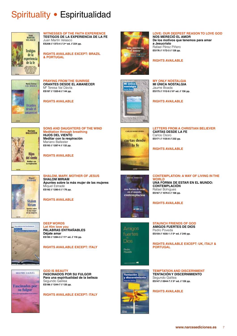

**WITNESSES OF THE FAITH EXPERIENCE TESTIGOS DE LA EXPERIENCIA DE LA FE** Juan Martín Velasco **ES208 // 1373-4 // 2nd ed. // 224 pp.**

**RIGHTS AVAILABLE EXCEPT: BRAZIL & PORTUGAL**



**PRAYING FROM THE SUNRISE ORANTES DESDE EL AMANECER** Mª Teresa Val Dávila **ES197 // 1320-8 // 144 pp.**

**RIGHTS AVAILABLE**



mereció

amor

**LOVE: OUR DEEPEST REASON TO LOVE GOD**

**NOS MERECIÓ EL AMOR De los motivos que tenemos para amar a Jesucristo** Rafael Pérez Piñero **ES176 // 1172-3 // 128 pp.**

#### **RIGHTS AVAILABLE**

**MY ONLY NOSTALGIA MI ÚNICA NOSTALGIA** Jaume Boada **ES175 // 1112-9 // 6th ed. // 136 pp.**

**RIGHTS AVAILABLE**



**SONS AND DAUGHTERS OF THE WIND Meditation through breathing HIJOS DEL VIENTO Meditar con la respiración** Mariano Ballester **ES193 // 1287-4 // 132 pp.**

**RIGHTS AVAILABLE**



#### **SHALOM, MARY, MOTHER OF JESUS SHALOM MIRIAM**

**Apuntes sobre la más mujer de las mujeres** Miquel Estradé **ES192 // 1280-5 // 176 pp.**

**RIGHTS AVAILABLE**



**DEEP WORDS Let Him love you PALABRAS ENTRAÑABLES Déjate amar ES190 // 1284-3 // 11th ed. // 116 pp.**

#### **RIGHTS AVAILABLE EXCEPT: ITALY**



**GOD IS BEAUTY FASCINADOS POR SU FULGOR Para una espiritualidad de la belleza** Segundo Galilea **ES186 // 1244-7 // 120 pp.**

**RIGHTS AVAILABLE EXCEPT: ITALY**



**LETTERS FROM A CHRISTIAN BELIEVER CARTAS DESDE LA FE** Carlos Osoro **ES171 // 1135-8 // 232 pp.**

**RIGHTS AVAILABLE**

## **KATALL BORRELES** una forma de estar contemplación ---

Amicros fuertes Dios

**STAUNCH FRIENDS OF GOD AMIGOS FUERTES DE DIOS** Pedro Poveda **ES159 // 1035-1 // 5th ed. // 240 pp.**

**RIGHTS AVAILABLE EXCEPT: UK, ITALY & PORTUGAL**

- 100

Pedro<br>Poveda



**TEMPTATION AND DISCERNMENT TENTACIÓN Y DISCERNIMIENTO** Segundo Galilea **ES147 // 0944-7 // 5th ed. // 126 pp.**

**RIGHTS AVAILABLE**

**CONTEMPLATION: A WAY OF LIVING IN THE WORLD UNA FORMA DE ESTAR EN EL MUNDO: CONTEMPLACIÓN**

Rafael Bohigues **ES167 // 1074-0 // 168 pp.**

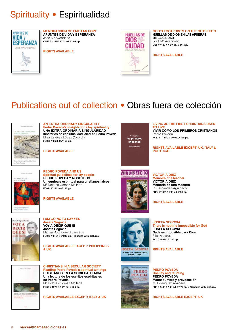

**MEMORANDUM OF FAITH AN HOPE APUNTES DE VIDA Y ESPERANZA** José Mª Avendaño **CU12 // 1356-7 // 2nd ed. // 168 pp.**

**RIGHTS AVAILABLE**



**GOD'S FOOTPRINTS ON THE OUTSKIRTS HUELLAS DE DIOS EN LAS AFUERAS DE LA CIUDAD** José Mª Avendaño **CU6 // 1188-4 // 3rd ed. // 144 pp.**

**RIGHTS AVAILABLE**

## Publications out of collection • Obras fuera de colección



**AN EXTRA-ORDINARY SINGULARITY Pedro Poveda's insights for a lay spirituality UNA EXTRA-ORDINARIA SINGULARIDAD Itinerarios de espiritualidad laical en Pedro Poveda** Elisa Estévez López (Coord.) **FC088 // 2635-2 // 168 pp.**

**RIGHTS AVAILABLE**

**THE POVEDA**<br>NOSOTROS

**PEDRO POVEDA AND US Spiritual guidelines for lay people PEDRO POVEDA Y NOSOTROS Un equipaje espiritual para cristianos laicos** Mª Dolores Gómez Molleda **FC081 // 2442-6 // 152 pp.**

**RIGHTS AVAILABLE**



**I AM GOING TO SAY YES Josefa Segovia VOY A DECIR QUE SÍ Josefa Segovia** Marisa Rodríguez Abancéns **FC073 // 2164-7 // 240 pp. + 8 pages with pictures**

**RIGHTS AVAILABLE EXCEPT: PHILIPPINES & UK**



**CHRISTIANS IN A SECULAR SOCIETY Reading Pedro Poveda's spiritual writings CRISTIANOS EN LA SOCIEDAD LAICA Una lectura de los escritos espirituales de Pedro Poveda** Mª Dolores Gómez Molleda **FC62 // 1579-0 // 2nd ed. // 256 pp.**

**RIGHTS AVAILABLE EXCEPT: ITALY & UK**



**LIVING AS THE FIRST CHRISTIANS USED TO LIVE**

**VIVIR COMO LOS PRIMEROS CRISTIANOS** Pedro Poveda **FC57 // 1131-0 // 7th ed. // 120 pp.**

**RIGHTS AVAILABLE EXCEPT: UK, ITALY & PORTUGAL**



**VICTORIA DÍEZ Memoirs of a teacher VICTORIA DÍEZ Memoria de una maestra** C. Fernández Aguinaco **FC54 // 1051-1 // 2ª ed. // 96 pp.**

**RIGHTS AVAILABLE**





**JOSEFA SEGOVIA There is nothing impossible for God JOSEFA SEGOVIA Nada es imposible para Dios** Pilar Alastrué **FC4 // 1568-4 // 280 pp.**

**RIGHTS AVAILABLE**



**PEDRO POVEDA Docility and taunting PEDRO POVEDA Mansedumbre y provocación** M. Rodríguez Abacéns **FC3 // 1430-4 // 2ª ed. // 176 pp. + 16 pages with pictures**

**RIGHTS AVAILABLE EXCEPT: UK**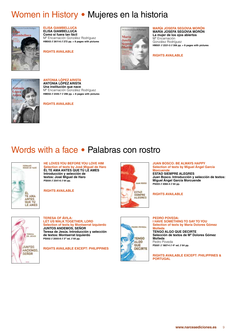## Women in History • Mujeres en la historia



**ELISA GIAMBELLUCA ELISA GIAMBELLUCA Como si fuera tan fácil** Mª Encarnación González Rodríguez **HM003 // 2611-6 // 272 pp. + 8 pages with pictures**

**RIGHTS AVAILABLE**



#### **MARÍA JOSEFA SEGOVIA MORÓN MARÍA JOSEFA SEGOVIA MORÓN**

**La mujer de los ojos abiertos** Mª Encarnación González Rodríguez **HM001 // 2331-3 // 306 pp. + 8 pages with pictures**

**RIGHTS AVAILABLE**



**ANTONIA LÓPEZ ARISTA ANTONIA LÓPEZ ARISTA Una institución que nace** Mª Encarnación González Rodríguez **HM002 // 2445-7 // 296 pp. + 8 pages with pictures**

**RIGHTS AVAILABLE**

## Words with a face • Palabras con rostro



**HE LOVES YOU BEFORE YOU LOVE HIM Selection of texts by José Miguel de Haro ÉL TE AMA ANTES QUE TÚ LE AMES Introducción y selección de textos: José Miguel de Haro PS004 // 2541-6 // 64 pp.**

**RIGHTS AVAILABLE**



**JUAN BOSCO: BE ALWAYS HAPPY Selection of texts by Miguel Ángel García Morcuende ESTAD SIEMPRE ALEGRES Juan Bosco. Introducción y selección de textos:** 

**Miguel Ángel García Morcuende PS003 // 2082-4 // 64 pp.**

**RIGHTS AVAILABLE**



#### **TERESA OF ÁVILA: LET US WALK TOGETHER, LORD Selection of texts by Montserrat Izquierdo JUNTOS ANDEMOS, SEÑOR Teresa de Jesús. Introducción y selección de textos: Montserrat Izquierdo PS002 // 2000-8 // 3rd ed. // 64 pp.**

**RIGHTS AVAILABLE EXCEPT: PHILIPPINES**



#### **PEDRO POVEDA: I HAVE SOMETHING TO SAY TO YOU Selection of texts by María Dolores Gómez Molleda TENGO ALGO QUE DECIRTE Selección de textos de Mª Dolores Gómez Molleda** Pedro Poveda PS001 // 1807-4 // 4<sup>th</sup> ed. // 64 pp.

**RIGHTS AVAILABLE EXCEPT: PHILIPPINES & PORTUGAL**